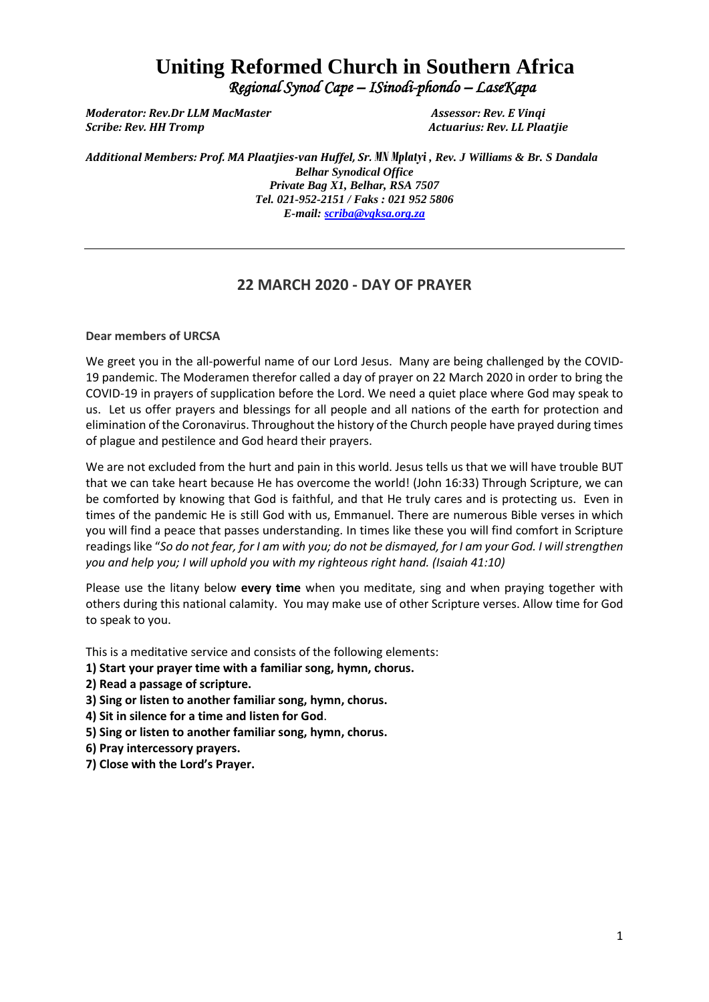# **Uniting Reformed Church in Southern Africa**  *Regional Synod Cape – ISinodi-phondo – LaseKapa*

*Moderator: Rev.Dr LLM MacMaster Assessor: Rev. E Vinqi Scribe: Rev. HH Tromp Actuarius: Rev. LL Plaatjie*

*Additional Members: Prof. MA Plaatjies-van Huffel, Sr. MN Mplatyi , Rev. J Williams & Br. S Dandala Belhar Synodical Office Private Bag X1, Belhar, RSA 7507 Tel. 021-952-2151 / Faks : 021 952 5806 E-mail[: scriba@vgksa.org.za](mailto:scriba@vgksa.org.za)*

# **22 MARCH 2020 - DAY OF PRAYER**

**Dear members of URCSA** 

We greet you in the all-powerful name of our Lord Jesus. Many are being challenged by the COVID-19 pandemic. The Moderamen therefor called a day of prayer on 22 March 2020 in order to bring the COVID-19 in prayers of supplication before the Lord. We need a quiet place where God may speak to us. Let us offer prayers and blessings for all people and all nations of the earth for protection and elimination of the Coronavirus. Throughout the history of the Church people have prayed during times of plague and pestilence and God heard their prayers.

We are not excluded from the hurt and pain in this world. Jesus tells us that we will have trouble BUT that we can take heart because He has overcome the world! (John 16:33) Through Scripture, we can be comforted by knowing that God is faithful, and that He truly cares and is protecting us. Even in times of the pandemic He is still God with us, Emmanuel. There are numerous Bible verses in which you will find a peace that passes understanding. In times like these you will find comfort in Scripture readings like "*So do not fear, for I am with you; do not be dismayed, for I am your God. I will strengthen you and help you; I will uphold you with my righteous right hand. (Isaiah 41:10)*

Please use the litany below **every time** when you meditate, sing and when praying together with others during this national calamity. You may make use of other Scripture verses. Allow time for God to speak to you.

This is a meditative service and consists of the following elements:

- **1) Start your prayer time with a familiar song, hymn, chorus.**
- **2) Read a passage of scripture.**
- **3) Sing or listen to another familiar song, hymn, chorus.**
- **4) Sit in silence for a time and listen for God**.
- **5) Sing or listen to another familiar song, hymn, chorus.**
- **6) Pray intercessory prayers.**
- **7) Close with the Lord's Prayer.**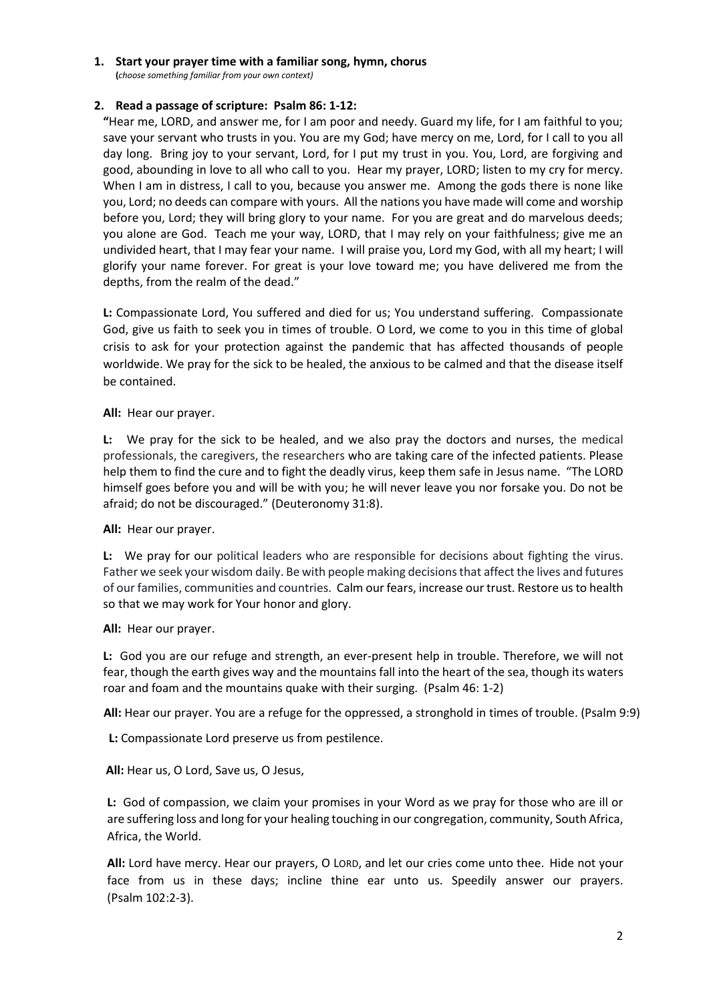#### **1. Start your prayer time with a familiar song, hymn, chorus**

**(***choose something familiar from your own context)*

#### **2. Read a passage of scripture: Psalm 86: 1-12:**

**"**Hear me, LORD, and answer me, for I am poor and needy. Guard my life, for I am faithful to you; save your servant who trusts in you. You are my God; have mercy on me, Lord, for I call to you all day long. Bring joy to your servant, Lord, for I put my trust in you. You, Lord, are forgiving and good, abounding in love to all who call to you. Hear my prayer, LORD; listen to my cry for mercy. When I am in distress, I call to you, because you answer me. Among the gods there is none like you, Lord; no deeds can compare with yours. All the nations you have made will come and worship before you, Lord; they will bring glory to your name. For you are great and do marvelous deeds; you alone are God. Teach me your way, LORD, that I may rely on your faithfulness; give me an undivided heart, that I may fear your name. I will praise you, Lord my God, with all my heart; I will glorify your name forever. For great is your love toward me; you have delivered me from the depths, from the realm of the dead."

**L:** Compassionate Lord, You suffered and died for us; You understand suffering. Compassionate God, give us faith to seek you in times of trouble. O Lord, we come to you in this time of global crisis to ask for your protection against the pandemic that has affected thousands of people worldwide. We pray for the sick to be healed, the anxious to be calmed and that the disease itself be contained.

**All:** Hear our prayer.

**L:** We pray for the sick to be healed, and we also pray the doctors and nurses, the medical professionals, the caregivers, the researchers who are taking care of the infected patients. Please help them to find the cure and to fight the deadly virus, keep them safe in Jesus name. "The LORD himself goes before you and will be with you; he will never leave you nor forsake you. Do not be afraid; do not be discouraged." (Deuteronomy 31:8).

**All:** Hear our prayer.

**L:** We pray for our political leaders who are responsible for decisions about fighting the virus. Father we seek your wisdom daily. Be with people making decisions that affect the lives and futures of our families, communities and countries. Calm our fears, increase our trust. Restore us to health so that we may work for Your honor and glory.

**All:** Hear our prayer.

**L:** God you are our refuge and strength, an ever-present help in trouble. Therefore, we will not fear, though the earth gives way and the mountains fall into the heart of the sea, though its waters roar and foam and the mountains quake with their surging. (Psalm 46: 1-2)

 **All:** Hear our prayer. You are a refuge for the oppressed, a stronghold in times of trouble. (Psalm 9:9)

 **L:** Compassionate Lord preserve us from pestilence.

 **All:** Hear us, O Lord, Save us, O Jesus,

**L:** God of compassion, we claim your promises in your Word as we pray for those who are ill or are suffering loss and long for your healing touching in our congregation, community, South Africa, Africa, the World.

**All:** Lord have mercy. Hear our prayers, O LORD, and let our cries come unto thee. Hide not your face from us in these days; incline thine ear unto us. Speedily answer our prayers. (Psalm 102:2-3).